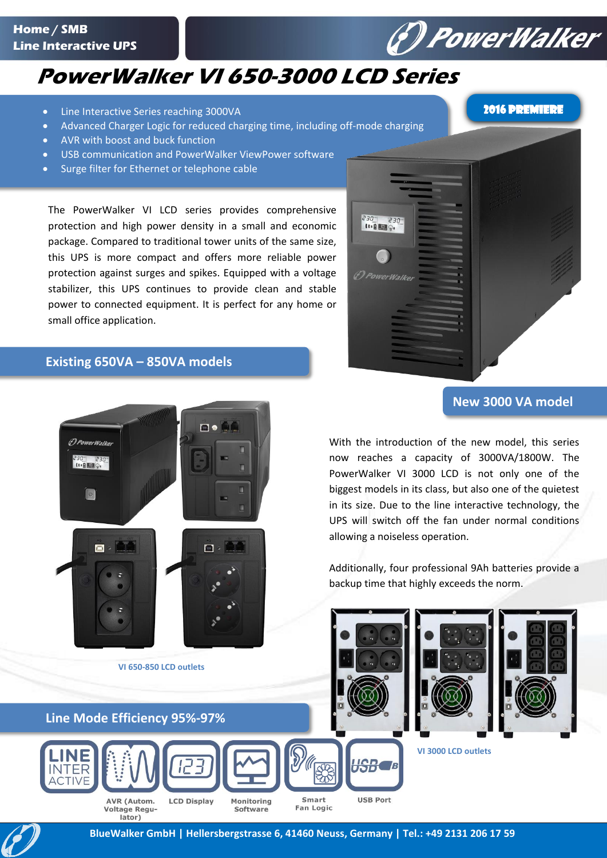#### **Home / SMB Line Interactive UPS**

### **PowerWalker VI 650-3000 LCD Series**

- Line Interactive Series reaching 3000VA
- Advanced Charger Logic for reduced charging time, including off-mode charging
- AVR with boost and buck function
- USB communication and PowerWalker ViewPower software
- Surge filter for Ethernet or telephone cable

The PowerWalker VI LCD series provides comprehensive protection and high power density in a small and economic package. Compared to traditional tower units of the same size, this UPS is more compact and offers more reliable power protection against surges and spikes. Equipped with a voltage stabilizer, this UPS continues to provide clean and stable power to connected equipment. It is perfect for any home or small office application.

# $\begin{array}{c} 230^{-1} & 230^{-1} \\ 11.8 & 0.1 \end{array}$ <sup>(D PowerWalke)</sup>

#### **Existing 650VA – 850VA models**



lator)

#### **New 3000 VA model**

With the introduction of the new model, this series now reaches a capacity of 3000VA/1800W. The PowerWalker VI 3000 LCD is not only one of the biggest models in its class, but also one of the quietest in its size. Due to the line interactive technology, the UPS will switch off the fan under normal conditions allowing a noiseless operation.

Additionally, four professional 9Ah batteries provide a backup time that highly exceeds the norm.





*(\*) PowerWalker*